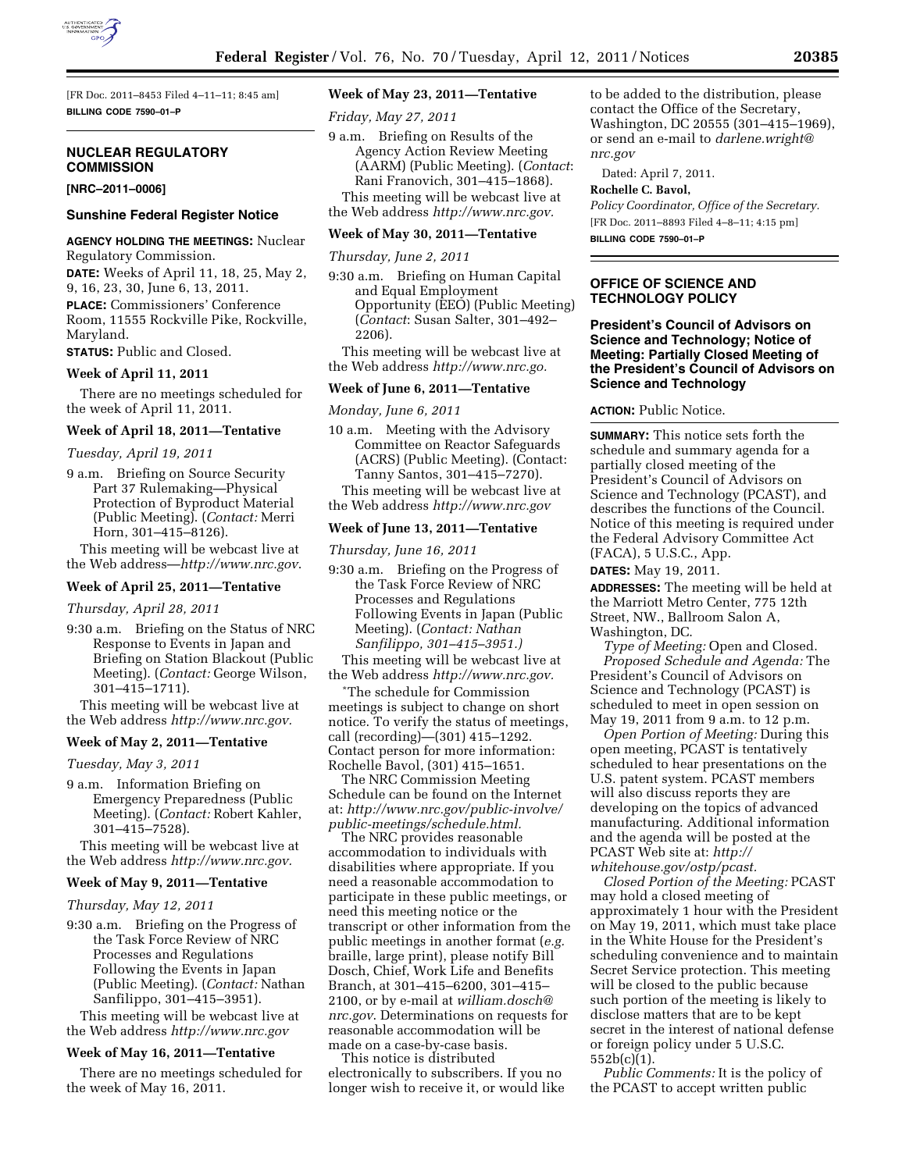

[FR Doc. 2011–8453 Filed 4–11–11; 8:45 am] **BILLING CODE 7590–01–P** 

## **NUCLEAR REGULATORY COMMISSION**

**[NRC–2011–0006]** 

# **Sunshine Federal Register Notice**

**AGENCY HOLDING THE MEETINGS:** Nuclear Regulatory Commission.

**DATE:** Weeks of April 11, 18, 25, May 2, 9, 16, 23, 30, June 6, 13, 2011. **PLACE:** Commissioners' Conference Room, 11555 Rockville Pike, Rockville, Maryland.

**STATUS:** Public and Closed.

## **Week of April 11, 2011**

There are no meetings scheduled for the week of April 11, 2011.

## **Week of April 18, 2011—Tentative**

*Tuesday, April 19, 2011* 

9 a.m. Briefing on Source Security Part 37 Rulemaking—Physical Protection of Byproduct Material (Public Meeting). (*Contact:* Merri Horn, 301–415–8126).

This meeting will be webcast live at the Web address—*<http://www.nrc.gov>*.

## **Week of April 25, 2011—Tentative**

*Thursday, April 28, 2011* 

9:30 a.m. Briefing on the Status of NRC Response to Events in Japan and Briefing on Station Blackout (Public Meeting). (*Contact:* George Wilson, 301–415–1711).

This meeting will be webcast live at the Web address *[http://www.nrc.gov.](http://www.nrc.gov)* 

# **Week of May 2, 2011—Tentative**

*Tuesday, May 3, 2011* 

9 a.m. Information Briefing on Emergency Preparedness (Public Meeting). (*Contact:* Robert Kahler, 301–415–7528).

This meeting will be webcast live at the Web address *[http://www.nrc.gov.](http://www.nrc.gov)* 

## **Week of May 9, 2011—Tentative**

*Thursday, May 12, 2011* 

9:30 a.m. Briefing on the Progress of the Task Force Review of NRC Processes and Regulations Following the Events in Japan (Public Meeting). (*Contact:* Nathan Sanfilippo, 301–415–3951).

This meeting will be webcast live at the Web address *<http://www.nrc.gov>* 

## **Week of May 16, 2011—Tentative**

There are no meetings scheduled for the week of May 16, 2011.

# **Week of May 23, 2011—Tentative**

*Friday, May 27, 2011* 

9 a.m. Briefing on Results of the Agency Action Review Meeting (AARM) (Public Meeting). (*Contact*: Rani Franovich, 301–415–1868). This meeting will be webcast live at

the Web address *[http://www.nrc.gov.](http://www.nrc.gov)* 

## **Week of May 30, 2011—Tentative**

*Thursday, June 2, 2011* 

9:30 a.m. Briefing on Human Capital and Equal Employment Opportunity (EEO) (Public Meeting) (*Contact*: Susan Salter, 301–492– 2206).

This meeting will be webcast live at the Web address *[http://www.nrc.go.](http://www.nrc.go)* 

## **Week of June 6, 2011—Tentative**

*Monday, June 6, 2011* 

- 10 a.m. Meeting with the Advisory Committee on Reactor Safeguards (ACRS) (Public Meeting). (Contact: Tanny Santos, 301–415–7270).
- This meeting will be webcast live at the Web address *<http://www.nrc.gov>*

## **Week of June 13, 2011—Tentative**

*Thursday, June 16, 2011* 

9:30 a.m. Briefing on the Progress of the Task Force Review of NRC Processes and Regulations Following Events in Japan (Public Meeting). (*Contact: Nathan Sanfilippo, 301–415–3951.)* 

This meeting will be webcast live at the Web address *[http://www.nrc.gov.](http://www.nrc.gov)* 

\*The schedule for Commission meetings is subject to change on short notice. To verify the status of meetings, call (recording)—(301) 415–1292. Contact person for more information: Rochelle Bavol, (301) 415–1651.

The NRC Commission Meeting Schedule can be found on the Internet at: *[http://www.nrc.gov/public-involve/](http://www.nrc.gov/public-involve/public-meetings/schedule.html) [public-meetings/schedule.html.](http://www.nrc.gov/public-involve/public-meetings/schedule.html)* 

The NRC provides reasonable accommodation to individuals with disabilities where appropriate. If you need a reasonable accommodation to participate in these public meetings, or need this meeting notice or the transcript or other information from the public meetings in another format (*e.g.*  braille, large print), please notify Bill Dosch, Chief, Work Life and Benefits Branch, at 301–415–6200, 301–415– 2100, or by e-mail at *[william.dosch@](mailto:william.dosch@nrc.gov) [nrc.gov](mailto:william.dosch@nrc.gov)*. Determinations on requests for reasonable accommodation will be made on a case-by-case basis.

This notice is distributed electronically to subscribers. If you no longer wish to receive it, or would like to be added to the distribution, please contact the Office of the Secretary, Washington, DC 20555 (301–415–1969), or send an e-mail to *[darlene.wright@](mailto:darlene.wright@nrc.gov) [nrc.gov](mailto:darlene.wright@nrc.gov)* 

Dated: April 7, 2011.

#### **Rochelle C. Bavol,**

*Policy Coordinator, Office of the Secretary.*  [FR Doc. 2011–8893 Filed 4–8–11; 4:15 pm] **BILLING CODE 7590–01–P** 

# **OFFICE OF SCIENCE AND TECHNOLOGY POLICY**

**President's Council of Advisors on Science and Technology; Notice of Meeting: Partially Closed Meeting of the President's Council of Advisors on Science and Technology** 

## **ACTION:** Public Notice.

**SUMMARY:** This notice sets forth the schedule and summary agenda for a partially closed meeting of the President's Council of Advisors on Science and Technology (PCAST), and describes the functions of the Council. Notice of this meeting is required under the Federal Advisory Committee Act (FACA), 5 U.S.C., App.

# **DATES:** May 19, 2011.

**ADDRESSES:** The meeting will be held at the Marriott Metro Center, 775 12th Street, NW., Ballroom Salon A, Washington, DC.

*Type of Meeting:* Open and Closed. *Proposed Schedule and Agenda:* The President's Council of Advisors on Science and Technology (PCAST) is scheduled to meet in open session on May 19, 2011 from 9 a.m. to 12 p.m.

*Open Portion of Meeting:* During this open meeting, PCAST is tentatively scheduled to hear presentations on the U.S. patent system. PCAST members will also discuss reports they are developing on the topics of advanced manufacturing. Additional information and the agenda will be posted at the PCAST Web site at: *[http://](http://whitehouse.gov/ostp/pcast) [whitehouse.gov/ostp/pcast.](http://whitehouse.gov/ostp/pcast)* 

*Closed Portion of the Meeting:* PCAST may hold a closed meeting of approximately 1 hour with the President on May 19, 2011, which must take place in the White House for the President's scheduling convenience and to maintain Secret Service protection. This meeting will be closed to the public because such portion of the meeting is likely to disclose matters that are to be kept secret in the interest of national defense or foreign policy under 5 U.S.C. 552b(c)(1).

*Public Comments:* It is the policy of the PCAST to accept written public